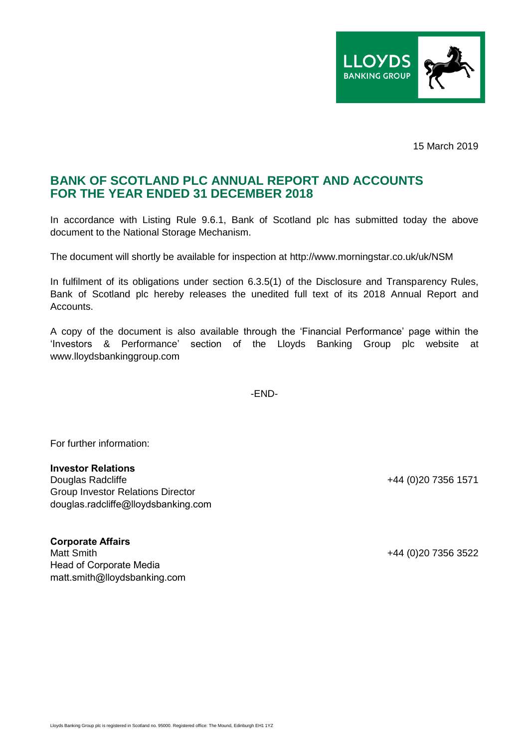

15 March 2019

## **BANK OF SCOTLAND PLC ANNUAL REPORT AND ACCOUNTS FOR THE YEAR ENDED 31 DECEMBER 2018**

In accordance with Listing Rule 9.6.1, Bank of Scotland plc has submitted today the above document to the National Storage Mechanism.

The document will shortly be available for inspection at http://www.morningstar.co.uk/uk/NSM

In fulfilment of its obligations under section 6.3.5(1) of the Disclosure and Transparency Rules, Bank of Scotland plc hereby releases the unedited full text of its 2018 Annual Report and Accounts.

A copy of the document is also available through the 'Financial Performance' page within the 'Investors & Performance' section of the Lloyds Banking Group plc website at www.lloydsbankinggroup.com

-END-

For further information:

## **Investor Relations**

Douglas Radcliffe +44 (0)20 7356 1571 Group Investor Relations Director douglas.radcliffe@lloydsbanking.com

## **Corporate Affairs**

Matt Smith +44 (0)20 7356 3522 Head of Corporate Media matt.smith@lloydsbanking.com